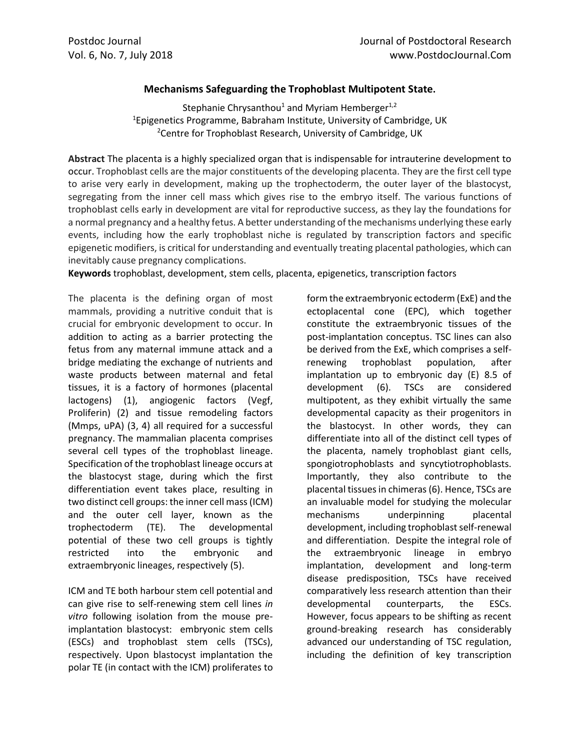## **Mechanisms Safeguarding the Trophoblast Multipotent State.**

Stephanie Chrysanthou<sup>1</sup> and Myriam Hemberger<sup>1,2</sup> <sup>1</sup>Epigenetics Programme, Babraham Institute, University of Cambridge, UK <sup>2</sup> Centre for Trophoblast Research, University of Cambridge, UK

**Abstract** The placenta is a highly specialized organ that is indispensable for intrauterine development to occur. Trophoblast cells are the major constituents of the developing placenta. They are the first cell type to arise very early in development, making up the trophectoderm, the outer layer of the blastocyst, segregating from the inner cell mass which gives rise to the embryo itself. The various functions of trophoblast cells early in development are vital for reproductive success, as they lay the foundations for a normal pregnancy and a healthy fetus. A better understanding of the mechanisms underlying these early events, including how the early trophoblast niche is regulated by transcription factors and specific epigenetic modifiers, is critical for understanding and eventually treating placental pathologies, which can inevitably cause pregnancy complications.

**Keywords** trophoblast, development, stem cells, placenta, epigenetics, transcription factors

The placenta is the defining organ of most mammals, providing a nutritive conduit that is crucial for embryonic development to occur. In addition to acting as a barrier protecting the fetus from any maternal immune attack and a bridge mediating the exchange of nutrients and waste products between maternal and fetal tissues, it is a factory of hormones (placental lactogens) (1), angiogenic factors (Vegf, Proliferin) (2) and tissue remodeling factors (Mmps, uPA) (3, 4) all required for a successful pregnancy. The mammalian placenta comprises several cell types of the trophoblast lineage. Specification of the trophoblast lineage occurs at the blastocyst stage, during which the first differentiation event takes place, resulting in two distinct cell groups: the inner cell mass (ICM) and the outer cell layer, known as the trophectoderm (TE). The developmental potential of these two cell groups is tightly restricted into the embryonic and extraembryonic lineages, respectively (5).

ICM and TE both harbour stem cell potential and can give rise to self-renewing stem cell lines *in vitro* following isolation from the mouse preimplantation blastocyst: embryonic stem cells (ESCs) and trophoblast stem cells (TSCs), respectively. Upon blastocyst implantation the polar TE (in contact with the ICM) proliferates to

form the extraembryonic ectoderm (ExE) and the ectoplacental cone (EPC), which together constitute the extraembryonic tissues of the post-implantation conceptus. TSC lines can also be derived from the ExE, which comprises a selfrenewing trophoblast population, after implantation up to embryonic day (E) 8.5 of development (6). TSCs are considered multipotent, as they exhibit virtually the same developmental capacity as their progenitors in the blastocyst. In other words, they can differentiate into all of the distinct cell types of the placenta, namely trophoblast giant cells, spongiotrophoblasts and syncytiotrophoblasts. Importantly, they also contribute to the placental tissues in chimeras (6). Hence, TSCs are an invaluable model for studying the molecular mechanisms underpinning placental development, including trophoblast self-renewal and differentiation. Despite the integral role of the extraembryonic lineage in embryo implantation, development and long-term disease predisposition, TSCs have received comparatively less research attention than their developmental counterparts, the ESCs. However, focus appears to be shifting as recent ground-breaking research has considerably advanced our understanding of TSC regulation, including the definition of key transcription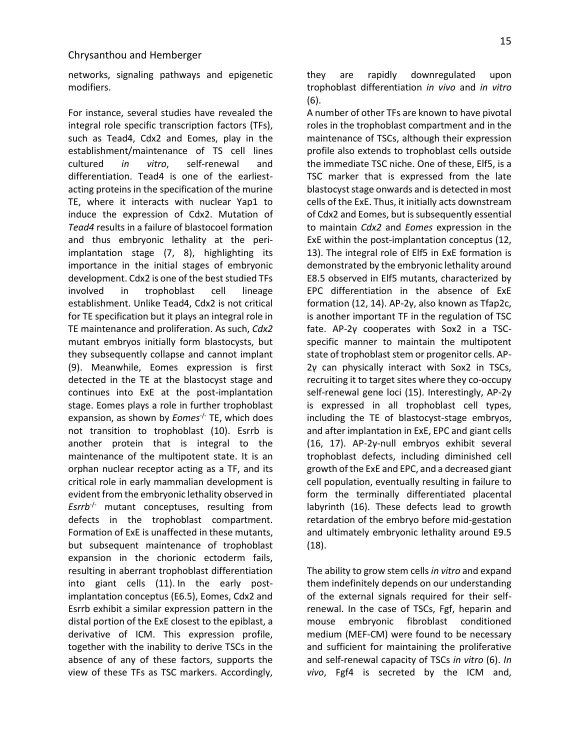networks, signaling pathways and epigenetic modifiers.

For instance, several studies have revealed the integral role specific transcription factors (TFs), such as Tead4, Cdx2 and Eomes, play in the establishment/maintenance of TS cell lines cultured *in vitro*, self-renewal and differentiation. Tead4 is one of the earliestacting proteins in the specification of the murine TE, where it interacts with nuclear Yap1 to induce the expression of Cdx2. Mutation of *Tead4* results in a failure of blastocoel formation and thus embryonic lethality at the periimplantation stage (7, 8), highlighting its importance in the initial stages of embryonic development. Cdx2 is one of the best studied TFs involved in trophoblast cell lineage establishment. Unlike Tead4, Cdx2 is not critical for TE specification but it plays an integral role in TE maintenance and proliferation. As such, *Cdx2*  mutant embryos initially form blastocysts, but they subsequently collapse and cannot implant (9). Meanwhile, Eomes expression is first detected in the TE at the blastocyst stage and continues into ExE at the post-implantation stage. Eomes plays a role in further trophoblast expansion, as shown by *Eomes*-/- TE, which does not transition to trophoblast (10). Esrrb is another protein that is integral to the maintenance of the multipotent state. It is an orphan nuclear receptor acting as a TF, and its critical role in early mammalian development is evident from the embryonic lethality observed in *Esrrb<sup>-/-</sup>* mutant conceptuses, resulting from defects in the trophoblast compartment. Formation of ExE is unaffected in these mutants, but subsequent maintenance of trophoblast expansion in the chorionic ectoderm fails, resulting in aberrant trophoblast differentiation into giant cells (11). In the early postimplantation conceptus (E6.5), Eomes, Cdx2 and Esrrb exhibit a similar expression pattern in the distal portion of the ExE closest to the epiblast, a derivative of ICM. This expression profile, together with the inability to derive TSCs in the absence of any of these factors, supports the view of these TFs as TSC markers. Accordingly,

they are rapidly downregulated upon trophoblast differentiation *in vivo* and *in vitro*  (6).

A number of other TFs are known to have pivotal roles in the trophoblast compartment and in the maintenance of TSCs, although their expression profile also extends to trophoblast cells outside the immediate TSC niche. One of these, Elf5, is a TSC marker that is expressed from the late blastocyst stage onwards and is detected in most cells of the ExE. Thus, it initially acts downstream of Cdx2 and Eomes, but is subsequently essential to maintain *Cdx2* and *Eomes* expression in the ExE within the post-implantation conceptus (12, 13). The integral role of Elf5 in ExE formation is demonstrated by the embryonic lethality around E8.5 observed in Elf5 mutants, characterized by EPC differentiation in the absence of ExE formation (12, 14). AP-2γ, also known as Tfap2c, is another important TF in the regulation of TSC fate. AP-2γ cooperates with Sox2 in a TSCspecific manner to maintain the multipotent state of trophoblast stem or progenitor cells. AP-2γ can physically interact with Sox2 in TSCs, recruiting it to target sites where they co-occupy self-renewal gene loci (15). Interestingly, AP-2γ is expressed in all trophoblast cell types, including the TE of blastocyst-stage embryos, and after implantation in ExE, EPC and giant cells (16, 17). AP-2γ-null embryos exhibit several trophoblast defects, including diminished cell growth of the ExE and EPC, and a decreased giant cell population, eventually resulting in failure to form the terminally differentiated placental labyrinth (16). These defects lead to growth retardation of the embryo before mid-gestation and ultimately embryonic lethality around E9.5 (18).

The ability to grow stem cells *in vitro* and expand them indefinitely depends on our understanding of the external signals required for their selfrenewal. In the case of TSCs, Fgf, heparin and mouse embryonic fibroblast conditioned medium (MEF-CM) were found to be necessary and sufficient for maintaining the proliferative and self-renewal capacity of TSCs *in vitro* (6). *In vivo*, Fgf4 is secreted by the ICM and,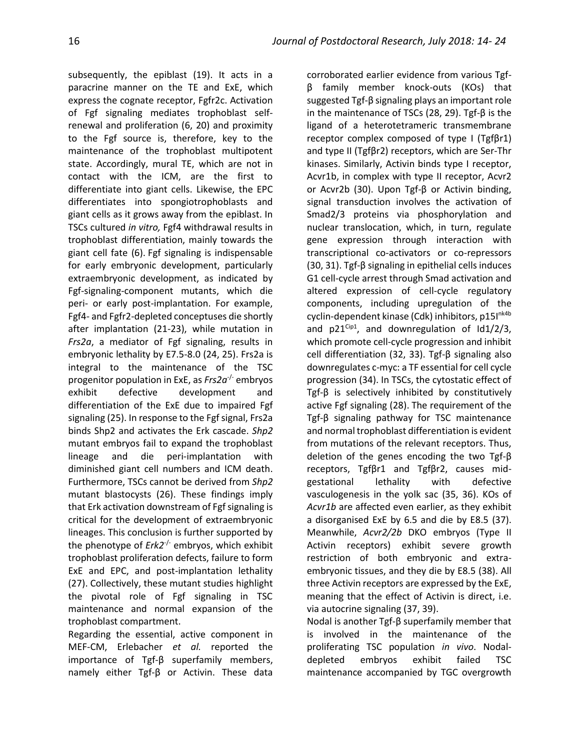subsequently, the epiblast (19). It acts in a paracrine manner on the TE and ExE, which express the cognate receptor, Fgfr2c. Activation of Fgf signaling mediates trophoblast selfrenewal and proliferation (6, 20) and proximity to the Fgf source is, therefore, key to the maintenance of the trophoblast multipotent state. Accordingly, mural TE, which are not in contact with the ICM, are the first to differentiate into giant cells. Likewise, the EPC differentiates into spongiotrophoblasts and giant cells as it grows away from the epiblast. In TSCs cultured *in vitro,* Fgf4 withdrawal results in trophoblast differentiation, mainly towards the giant cell fate (6). Fgf signaling is indispensable for early embryonic development, particularly extraembryonic development, as indicated by Fgf-signaling-component mutants, which die peri- or early post-implantation. For example, Fgf4- and Fgfr2-depleted conceptuses die shortly after implantation (21-23), while mutation in *Frs2a*, a mediator of Fgf signaling, results in embryonic lethality by E7.5-8.0 (24, 25). Frs2a is integral to the maintenance of the TSC progenitor population in ExE, as *Frs2a*-/- embryos exhibit defective development and differentiation of the ExE due to impaired Fgf signaling (25). In response to the Fgf signal, Frs2a binds Shp2 and activates the Erk cascade. *Shp2*  mutant embryos fail to expand the trophoblast lineage and die peri-implantation with diminished giant cell numbers and ICM death. Furthermore, TSCs cannot be derived from *Shp2* mutant blastocysts (26). These findings imply that Erk activation downstream of Fgf signaling is critical for the development of extraembryonic lineages. This conclusion is further supported by the phenotype of *Erk2*-/- embryos, which exhibit trophoblast proliferation defects, failure to form ExE and EPC, and post-implantation lethality (27). Collectively, these mutant studies highlight the pivotal role of Fgf signaling in TSC maintenance and normal expansion of the trophoblast compartment.

Regarding the essential, active component in MEF-CM, Erlebacher *et al.* reported the importance of Tgf-β superfamily members, namely either Tgf-β or Activin. These data

corroborated earlier evidence from various Tgfβ family member knock-outs (KOs) that suggested Tgf-β signaling plays an important role in the maintenance of TSCs (28, 29). Tgf-β is the ligand of a heterotetrameric transmembrane receptor complex composed of type I (Tgfβr1) and type II (Tgfβr2) receptors, which are Ser-Thr kinases. Similarly, Activin binds type I receptor, Acvr1b, in complex with type II receptor, Acvr2 or Acvr2b (30). Upon Tgf-β or Activin binding, signal transduction involves the activation of Smad2/3 proteins via phosphorylation and nuclear translocation, which, in turn, regulate gene expression through interaction with transcriptional co-activators or co-repressors (30, 31). Tgf-β signaling in epithelial cells induces G1 cell-cycle arrest through Smad activation and altered expression of cell-cycle regulatory components, including upregulation of the cyclin-dependent kinase (Cdk) inhibitors, p15I<sup>nk4b</sup> and  $p21^{Cip1}$ , and downregulation of  $Id1/2/3$ , which promote cell-cycle progression and inhibit cell differentiation (32, 33). Tgf-β signaling also downregulates c-myc: a TF essential for cell cycle progression (34). In TSCs, the cytostatic effect of Tgf-β is selectively inhibited by constitutively active Fgf signaling (28). The requirement of the Tgf-β signaling pathway for TSC maintenance and normal trophoblast differentiation is evident from mutations of the relevant receptors. Thus, deletion of the genes encoding the two Tgf-β receptors, Tgfβr1 and Tgfβr2, causes midgestational lethality with defective vasculogenesis in the yolk sac (35, 36). KOs of *Acvr1b* are affected even earlier, as they exhibit a disorganised ExE by 6.5 and die by E8.5 (37). Meanwhile, *Acvr2/2b* DKO embryos (Type II Activin receptors) exhibit severe growth restriction of both embryonic and extraembryonic tissues, and they die by E8.5 (38). All three Activin receptors are expressed by the ExE, meaning that the effect of Activin is direct, i.e. via autocrine signaling (37, 39).

Nodal is another Tgf-β superfamily member that is involved in the maintenance of the proliferating TSC population *in vivo*. Nodaldepleted embryos exhibit failed TSC maintenance accompanied by TGC overgrowth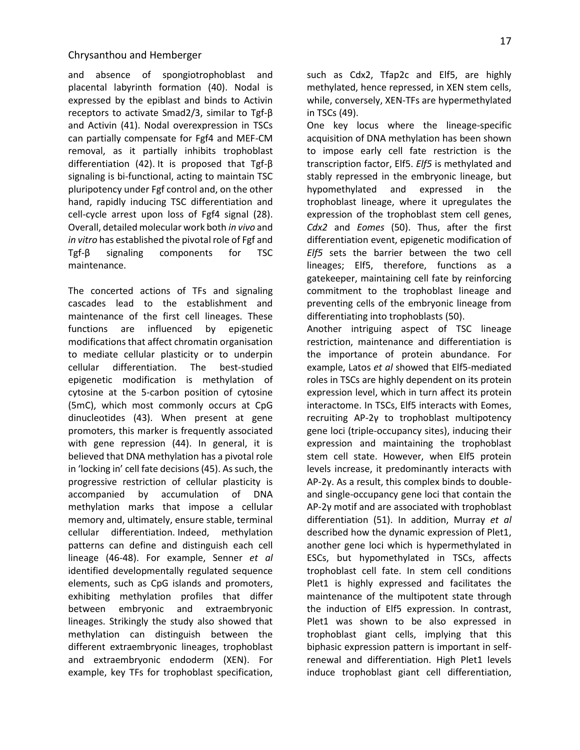and absence of spongiotrophoblast and placental labyrinth formation (40). Nodal is expressed by the epiblast and binds to Activin receptors to activate Smad2/3, similar to Tgf-β and Activin (41). Nodal overexpression in TSCs can partially compensate for Fgf4 and MEF-CM removal, as it partially inhibits trophoblast differentiation (42). It is proposed that Tgf-β signaling is bi-functional, acting to maintain TSC pluripotency under Fgf control and, on the other hand, rapidly inducing TSC differentiation and cell-cycle arrest upon loss of Fgf4 signal (28). Overall, detailed molecular work both *in vivo* and *in vitro* has established the pivotal role of Fgf and Tgf-β signaling components for TSC maintenance.

The concerted actions of TFs and signaling cascades lead to the establishment and maintenance of the first cell lineages. These functions are influenced by epigenetic modifications that affect chromatin organisation to mediate cellular plasticity or to underpin cellular differentiation. The best-studied epigenetic modification is methylation of cytosine at the 5-carbon position of cytosine (5mC), which most commonly occurs at CpG dinucleotides (43). When present at gene promoters, this marker is frequently associated with gene repression (44). In general, it is believed that DNA methylation has a pivotal role in 'locking in' cell fate decisions (45). As such, the progressive restriction of cellular plasticity is accompanied by accumulation of DNA methylation marks that impose a cellular memory and, ultimately, ensure stable, terminal cellular differentiation. Indeed, methylation patterns can define and distinguish each cell lineage (46-48). For example, Senner *et al* identified developmentally regulated sequence elements, such as CpG islands and promoters, exhibiting methylation profiles that differ between embryonic and extraembryonic lineages. Strikingly the study also showed that methylation can distinguish between the different extraembryonic lineages, trophoblast and extraembryonic endoderm (XEN). For example, key TFs for trophoblast specification,

such as Cdx2, Tfap2c and Elf5, are highly methylated, hence repressed, in XEN stem cells, while, conversely, XEN-TFs are hypermethylated in TSCs (49).

One key locus where the lineage-specific acquisition of DNA methylation has been shown to impose early cell fate restriction is the transcription factor, Elf5. *Elf5* is methylated and stably repressed in the embryonic lineage, but hypomethylated and expressed in the trophoblast lineage, where it upregulates the expression of the trophoblast stem cell genes, *Cdx2* and *Eomes* (50). Thus, after the first differentiation event, epigenetic modification of *Elf5* sets the barrier between the two cell lineages; Elf5, therefore, functions as a gatekeeper, maintaining cell fate by reinforcing commitment to the trophoblast lineage and preventing cells of the embryonic lineage from differentiating into trophoblasts (50).

Another intriguing aspect of TSC lineage restriction, maintenance and differentiation is the importance of protein abundance. For example, Latos *et al* showed that Elf5-mediated roles in TSCs are highly dependent on its protein expression level, which in turn affect its protein interactome. In TSCs, Elf5 interacts with Eomes, recruiting AP-2γ to trophoblast multipotency gene loci (triple-occupancy sites), inducing their expression and maintaining the trophoblast stem cell state. However, when Elf5 protein levels increase, it predominantly interacts with AP-2γ. As a result, this complex binds to doubleand single-occupancy gene loci that contain the AP-2γ motif and are associated with trophoblast differentiation (51). In addition, Murray *et al* described how the dynamic expression of Plet1, another gene loci which is hypermethylated in ESCs, but hypomethylated in TSCs, affects trophoblast cell fate. In stem cell conditions Plet1 is highly expressed and facilitates the maintenance of the multipotent state through the induction of Elf5 expression. In contrast, Plet1 was shown to be also expressed in trophoblast giant cells, implying that this biphasic expression pattern is important in selfrenewal and differentiation. High Plet1 levels induce trophoblast giant cell differentiation,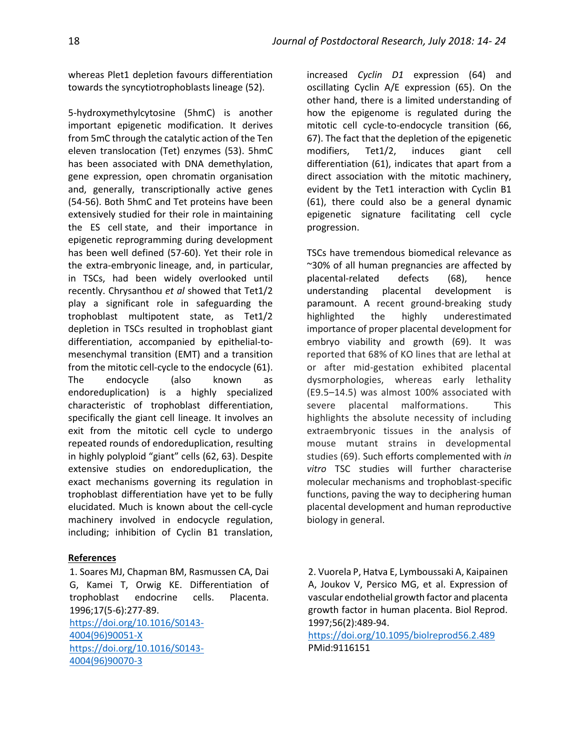whereas Plet1 depletion favours differentiation towards the syncytiotrophoblasts lineage (52).

5-hydroxymethylcytosine (5hmC) is another important epigenetic modification. It derives from 5mC through the catalytic action of the Ten eleven translocation (Tet) enzymes (53). 5hmC has been associated with DNA demethylation, gene expression, open chromatin organisation and, generally, transcriptionally active genes (54-56). Both 5hmC and Tet proteins have been extensively studied for their role in maintaining the ES cell [state,](https://www.sciencedirect.com/topics/biochemistry-genetics-and-molecular-biology/cell-potency) and their importance in epigenetic reprogramming during development has been well defined (57-60). Yet their role in the extra-embryonic lineage, and, in particular, in TSCs, had been widely overlooked until recently. Chrysanthou *et al* showed that Tet1/2 play a significant role in safeguarding the trophoblast multipotent state, as Tet1/2 depletion in TSCs resulted in trophoblast giant differentiation, accompanied by epithelial-tomesenchymal transition (EMT) and a transition from the mitotic cell-cycle to the endocycle (61). The endocycle (also known as endoreduplication) is a highly specialized characteristic of trophoblast differentiation, specifically the giant cell lineage. It involves an exit from the mitotic cell cycle to undergo repeated rounds of endoreduplication, resulting in highly polyploid "giant" cells (62, 63). Despite extensive studies on endoreduplication, the exact mechanisms governing its regulation in trophoblast differentiation have yet to be fully elucidated. Much is known about the cell-cycle machinery involved in endocycle regulation, including; inhibition of Cyclin B1 translation,

#### **References**

1. Soares MJ, Chapman BM, Rasmussen CA, Dai G, Kamei T, Orwig KE. Differentiation of trophoblast endocrine cells. Placenta. 1996;17(5-6):277-89. [https://doi.org/10.1016/S0143-](https://doi.org/10.1016/S0143-4004(96)90051-X) [4004\(96\)90051-X](https://doi.org/10.1016/S0143-4004(96)90051-X) [https://doi.org/10.1016/S0143-](https://doi.org/10.1016/S0143-4004(96)90070-3) [4004\(96\)90070-3](https://doi.org/10.1016/S0143-4004(96)90070-3)

increased *Cyclin D1* expression (64) and oscillating Cyclin A/E expression (65). On the other hand, there is a limited understanding of how the epigenome is regulated during the mitotic cell cycle-to-endocycle transition (66, 67). The fact that the depletion of the epigenetic modifiers, Tet1/2, induces giant cell differentiation (61), indicates that apart from a direct association with the mitotic machinery, evident by the Tet1 interaction with Cyclin B1 (61), there could also be a general dynamic epigenetic signature facilitating cell cycle progression.

TSCs have tremendous biomedical relevance as ~30% of all human pregnancies are affected by placental-related defects (68), hence understanding placental development is paramount. A recent ground-breaking study highlighted the highly underestimated importance of proper placental development for embryo viability and growth (69). It was reported that 68% of KO lines that are lethal at or after mid-gestation exhibited placental dysmorphologies, whereas early lethality (E9.5–14.5) was almost 100% associated with severe placental malformations. This highlights the absolute necessity of including extraembryonic tissues in the analysis of mouse mutant strains in developmental studies (69). Such efforts complemented with *in vitro* TSC studies will further characterise molecular mechanisms and trophoblast-specific functions, paving the way to deciphering human placental development and human reproductive biology in general.

2. Vuorela P, Hatva E, Lymboussaki A, Kaipainen A, Joukov V, Persico MG, et al. Expression of vascular endothelial growth factor and placenta growth factor in human placenta. Biol Reprod. 1997;56(2):489-94.

<https://doi.org/10.1095/biolreprod56.2.489> PMid:9116151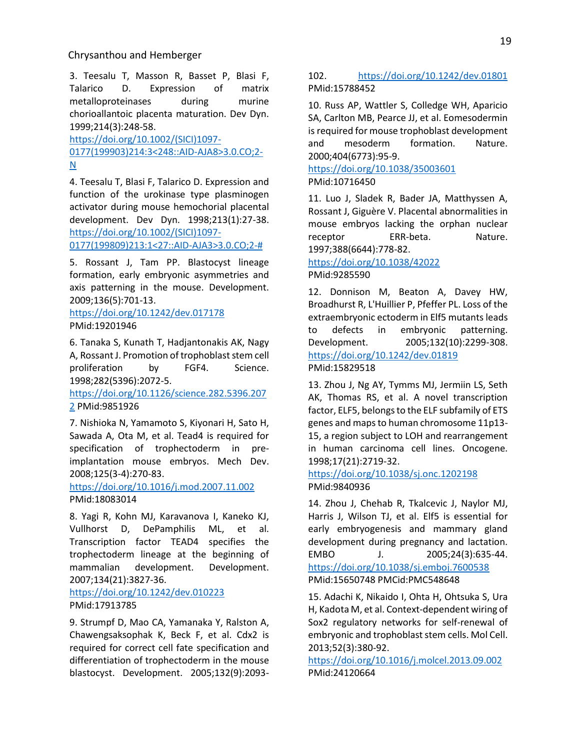3. Teesalu T, Masson R, Basset P, Blasi F, Talarico D. Expression of matrix metalloproteinases during murine chorioallantoic placenta maturation. Dev Dyn. 1999;214(3):248-58.

[https://doi.org/10.1002/\(SICI\)1097-](https://doi.org/10.1002/(SICI)1097-0177(199903)214:3%3C248::AID-AJA8%3E3.0.CO;2-N) [0177\(199903\)214:3<248::AID-AJA8>3.0.CO;2-](https://doi.org/10.1002/(SICI)1097-0177(199903)214:3%3C248::AID-AJA8%3E3.0.CO;2-N) [N](https://doi.org/10.1002/(SICI)1097-0177(199903)214:3%3C248::AID-AJA8%3E3.0.CO;2-N)

4. Teesalu T, Blasi F, Talarico D. Expression and function of the urokinase type plasminogen activator during mouse hemochorial placental development. Dev Dyn. 1998;213(1):27-38. [https://doi.org/10.1002/\(SICI\)1097-](https://doi.org/10.1002/(SICI)1097-0177(199809)213:1%3C27::AID-AJA3%3E3.0.CO;2-) [0177\(199809\)213:1<27::AID-AJA3>3.0.CO;2-#](https://doi.org/10.1002/(SICI)1097-0177(199809)213:1%3C27::AID-AJA3%3E3.0.CO;2-)

5. Rossant J, Tam PP. Blastocyst lineage formation, early embryonic asymmetries and axis patterning in the mouse. Development. 2009;136(5):701-13.

<https://doi.org/10.1242/dev.017178> PMid:19201946

6. Tanaka S, Kunath T, Hadjantonakis AK, Nagy A, Rossant J. Promotion of trophoblast stem cell proliferation by FGF4. Science. 1998;282(5396):2072-5.

[https://doi.org/10.1126/science.282.5396.207](https://doi.org/10.1126/science.282.5396.2072) [2](https://doi.org/10.1126/science.282.5396.2072) PMid:9851926

7. Nishioka N, Yamamoto S, Kiyonari H, Sato H, Sawada A, Ota M, et al. Tead4 is required for specification of trophectoderm in preimplantation mouse embryos. Mech Dev. 2008;125(3-4):270-83.

<https://doi.org/10.1016/j.mod.2007.11.002> PMid:18083014

8. Yagi R, Kohn MJ, Karavanova I, Kaneko KJ, Vullhorst D, DePamphilis ML, et al. Transcription factor TEAD4 specifies the trophectoderm lineage at the beginning of mammalian development. Development. 2007;134(21):3827-36.

<https://doi.org/10.1242/dev.010223> PMid:17913785

9. Strumpf D, Mao CA, Yamanaka Y, Ralston A, Chawengsaksophak K, Beck F, et al. Cdx2 is required for correct cell fate specification and differentiation of trophectoderm in the mouse blastocyst. Development. 2005;132(9):2093-

## 102. <https://doi.org/10.1242/dev.01801> PMid:15788452

10. Russ AP, Wattler S, Colledge WH, Aparicio SA, Carlton MB, Pearce JJ, et al. Eomesodermin is required for mouse trophoblast development and mesoderm formation. Nature. 2000;404(6773):95-9.

## <https://doi.org/10.1038/35003601> PMid:10716450

11. Luo J, Sladek R, Bader JA, Matthyssen A, Rossant J, Giguère V. Placental abnormalities in mouse embryos lacking the orphan nuclear receptor ERR-beta. Nature. 1997;388(6644):778-82.

## <https://doi.org/10.1038/42022> PMid:9285590

12. Donnison M, Beaton A, Davey HW, Broadhurst R, L'Huillier P, Pfeffer PL. Loss of the extraembryonic ectoderm in Elf5 mutants leads to defects in embryonic patterning. Development. 2005;132(10):2299-308. <https://doi.org/10.1242/dev.01819> PMid:15829518

13. Zhou J, Ng AY, Tymms MJ, Jermiin LS, Seth AK, Thomas RS, et al. A novel transcription factor, ELF5, belongs to the ELF subfamily of ETS genes and maps to human chromosome 11p13- 15, a region subject to LOH and rearrangement in human carcinoma cell lines. Oncogene. 1998;17(21):2719-32.

## <https://doi.org/10.1038/sj.onc.1202198> PMid:9840936

14. Zhou J, Chehab R, Tkalcevic J, Naylor MJ, Harris J, Wilson TJ, et al. Elf5 is essential for early embryogenesis and mammary gland development during pregnancy and lactation. EMBO J. 2005;24(3):635-44. <https://doi.org/10.1038/sj.emboj.7600538> PMid:15650748 PMCid:PMC548648

15. Adachi K, Nikaido I, Ohta H, Ohtsuka S, Ura H, Kadota M, et al. Context-dependent wiring of Sox2 regulatory networks for self-renewal of embryonic and trophoblast stem cells. Mol Cell. 2013;52(3):380-92.

<https://doi.org/10.1016/j.molcel.2013.09.002> PMid:24120664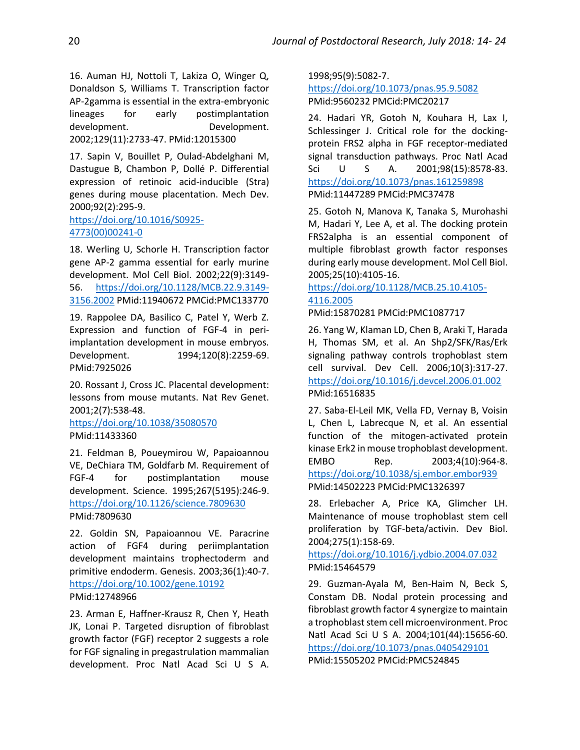16. Auman HJ, Nottoli T, Lakiza O, Winger Q, Donaldson S, Williams T. Transcription factor AP-2gamma is essential in the extra-embryonic lineages for early postimplantation development. Development. 2002;129(11):2733-47. PMid:12015300

17. Sapin V, Bouillet P, Oulad-Abdelghani M, Dastugue B, Chambon P, Dollé P. Differential expression of retinoic acid-inducible (Stra) genes during mouse placentation. Mech Dev. 2000;92(2):295-9.

## [https://doi.org/10.1016/S0925-](https://doi.org/10.1016/S0925-4773(00)00241-0) [4773\(00\)00241-0](https://doi.org/10.1016/S0925-4773(00)00241-0)

18. Werling U, Schorle H. Transcription factor gene AP-2 gamma essential for early murine development. Mol Cell Biol. 2002;22(9):3149- 56. [https://doi.org/10.1128/MCB.22.9.3149-](https://doi.org/10.1128/MCB.22.9.3149-3156.2002) [3156.2002](https://doi.org/10.1128/MCB.22.9.3149-3156.2002) PMid:11940672 PMCid:PMC133770

19. Rappolee DA, Basilico C, Patel Y, Werb Z. Expression and function of FGF-4 in periimplantation development in mouse embryos. Development. 1994;120(8):2259-69. PMid:7925026

20. Rossant J, Cross JC. Placental development: lessons from mouse mutants. Nat Rev Genet. 2001;2(7):538-48.

<https://doi.org/10.1038/35080570> PMid:11433360

21. Feldman B, Poueymirou W, Papaioannou VE, DeChiara TM, Goldfarb M. Requirement of FGF-4 for postimplantation mouse development. Science. 1995;267(5195):246-9. <https://doi.org/10.1126/science.7809630> PMid:7809630

22. Goldin SN, Papaioannou VE. Paracrine action of FGF4 during periimplantation development maintains trophectoderm and primitive endoderm. Genesis. 2003;36(1):40-7. <https://doi.org/10.1002/gene.10192> PMid:12748966

23. Arman E, Haffner-Krausz R, Chen Y, Heath JK, Lonai P. Targeted disruption of fibroblast growth factor (FGF) receptor 2 suggests a role for FGF signaling in pregastrulation mammalian development. Proc Natl Acad Sci U S A. 1998;95(9):5082-7.

<https://doi.org/10.1073/pnas.95.9.5082> PMid:9560232 PMCid:PMC20217

24. Hadari YR, Gotoh N, Kouhara H, Lax I, Schlessinger J. Critical role for the dockingprotein FRS2 alpha in FGF receptor-mediated signal transduction pathways. Proc Natl Acad Sci U S A. 2001;98(15):8578-83. <https://doi.org/10.1073/pnas.161259898> PMid:11447289 PMCid:PMC37478

25. Gotoh N, Manova K, Tanaka S, Murohashi M, Hadari Y, Lee A, et al. The docking protein FRS2alpha is an essential component of multiple fibroblast growth factor responses during early mouse development. Mol Cell Biol. 2005;25(10):4105-16.

## [https://doi.org/10.1128/MCB.25.10.4105-](https://doi.org/10.1128/MCB.25.10.4105-4116.2005) [4116.2005](https://doi.org/10.1128/MCB.25.10.4105-4116.2005)

PMid:15870281 PMCid:PMC1087717

26. Yang W, Klaman LD, Chen B, Araki T, Harada H, Thomas SM, et al. An Shp2/SFK/Ras/Erk signaling pathway controls trophoblast stem cell survival. Dev Cell. 2006;10(3):317-27. <https://doi.org/10.1016/j.devcel.2006.01.002> PMid:16516835

27. Saba-El-Leil MK, Vella FD, Vernay B, Voisin L, Chen L, Labrecque N, et al. An essential function of the mitogen-activated protein kinase Erk2 in mouse trophoblast development. EMBO Rep. 2003;4(10):964-8. <https://doi.org/10.1038/sj.embor.embor939> PMid:14502223 PMCid:PMC1326397

28. Erlebacher A, Price KA, Glimcher LH. Maintenance of mouse trophoblast stem cell proliferation by TGF-beta/activin. Dev Biol. 2004;275(1):158-69.

<https://doi.org/10.1016/j.ydbio.2004.07.032> PMid:15464579

29. Guzman-Ayala M, Ben-Haim N, Beck S, Constam DB. Nodal protein processing and fibroblast growth factor 4 synergize to maintain a trophoblast stem cell microenvironment. Proc Natl Acad Sci U S A. 2004;101(44):15656-60. <https://doi.org/10.1073/pnas.0405429101> PMid:15505202 PMCid:PMC524845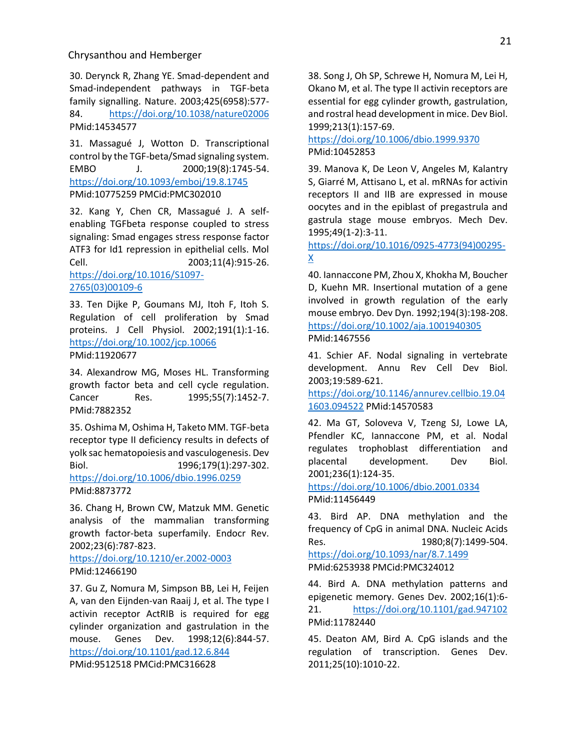30. Derynck R, Zhang YE. Smad-dependent and Smad-independent pathways in TGF-beta family signalling. Nature. 2003;425(6958):577- 84. <https://doi.org/10.1038/nature02006> PMid:14534577

31. Massagué J, Wotton D. Transcriptional control by the TGF-beta/Smad signaling system. EMBO J. 2000;19(8):1745-54. <https://doi.org/10.1093/emboj/19.8.1745> PMid:10775259 PMCid:PMC302010

32. Kang Y, Chen CR, Massagué J. A selfenabling TGFbeta response coupled to stress signaling: Smad engages stress response factor ATF3 for Id1 repression in epithelial cells. Mol Cell. 2003;11(4):915-26.

[https://doi.org/10.1016/S1097-](https://doi.org/10.1016/S1097-2765(03)00109-6) [2765\(03\)00109-6](https://doi.org/10.1016/S1097-2765(03)00109-6)

33. Ten Dijke P, Goumans MJ, Itoh F, Itoh S. Regulation of cell proliferation by Smad proteins. J Cell Physiol. 2002;191(1):1-16. <https://doi.org/10.1002/jcp.10066> PMid:11920677

34. Alexandrow MG, Moses HL. Transforming growth factor beta and cell cycle regulation. Cancer Res. 1995;55(7):1452-7. PMid:7882352

35. Oshima M, Oshima H, Taketo MM. TGF-beta receptor type II deficiency results in defects of yolk sac hematopoiesis and vasculogenesis. Dev Biol. 1996;179(1):297-302. <https://doi.org/10.1006/dbio.1996.0259> PMid:8873772

36. Chang H, Brown CW, Matzuk MM. Genetic analysis of the mammalian transforming growth factor-beta superfamily. Endocr Rev. 2002;23(6):787-823.

<https://doi.org/10.1210/er.2002-0003> PMid:12466190

37. Gu Z, Nomura M, Simpson BB, Lei H, Feijen A, van den Eijnden-van Raaij J, et al. The type I activin receptor ActRIB is required for egg cylinder organization and gastrulation in the mouse. Genes Dev. 1998;12(6):844-57. <https://doi.org/10.1101/gad.12.6.844>

PMid:9512518 PMCid:PMC316628

38. Song J, Oh SP, Schrewe H, Nomura M, Lei H, Okano M, et al. The type II activin receptors are essential for egg cylinder growth, gastrulation, and rostral head development in mice. Dev Biol. 1999;213(1):157-69.

<https://doi.org/10.1006/dbio.1999.9370> PMid:10452853

39. Manova K, De Leon V, Angeles M, Kalantry S, Giarré M, Attisano L, et al. mRNAs for activin receptors II and IIB are expressed in mouse oocytes and in the epiblast of pregastrula and gastrula stage mouse embryos. Mech Dev. 1995;49(1-2):3-11.

[https://doi.org/10.1016/0925-4773\(94\)00295-](https://doi.org/10.1016/0925-4773(94)00295-X)  $\underline{X}$  $\underline{X}$  $\underline{X}$ 

40. Iannaccone PM, Zhou X, Khokha M, Boucher D, Kuehn MR. Insertional mutation of a gene involved in growth regulation of the early mouse embryo. Dev Dyn. 1992;194(3):198-208. <https://doi.org/10.1002/aja.1001940305> PMid:1467556

41. Schier AF. Nodal signaling in vertebrate development. Annu Rev Cell Dev Biol. 2003;19:589-621.

[https://doi.org/10.1146/annurev.cellbio.19.04](https://doi.org/10.1146/annurev.cellbio.19.041603.094522) [1603.094522](https://doi.org/10.1146/annurev.cellbio.19.041603.094522) PMid:14570583

42. Ma GT, Soloveva V, Tzeng SJ, Lowe LA, Pfendler KC, Iannaccone PM, et al. Nodal regulates trophoblast differentiation and placental development. Dev Biol. 2001;236(1):124-35.

<https://doi.org/10.1006/dbio.2001.0334> PMid:11456449

43. Bird AP. DNA methylation and the frequency of CpG in animal DNA. Nucleic Acids Res. 1980;8(7):1499-504. <https://doi.org/10.1093/nar/8.7.1499> PMid:6253938 PMCid:PMC324012

44. Bird A. DNA methylation patterns and epigenetic memory. Genes Dev. 2002;16(1):6- 21. <https://doi.org/10.1101/gad.947102> PMid:11782440

45. Deaton AM, Bird A. CpG islands and the regulation of transcription. Genes Dev. 2011;25(10):1010-22.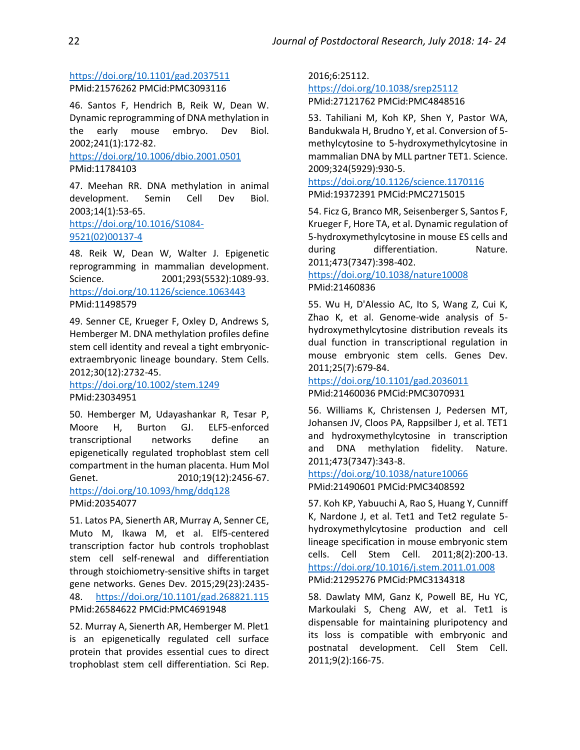# <https://doi.org/10.1101/gad.2037511> PMid:21576262 PMCid:PMC3093116

46. Santos F, Hendrich B, Reik W, Dean W. Dynamic reprogramming of DNA methylation in the early mouse embryo. Dev Biol. 2002;241(1):172-82.

<https://doi.org/10.1006/dbio.2001.0501> PMid:11784103

47. Meehan RR. DNA methylation in animal development. Semin Cell Dev Biol. 2003;14(1):53-65. [https://doi.org/10.1016/S1084-](https://doi.org/10.1016/S1084-9521(02)00137-4) [9521\(02\)00137-4](https://doi.org/10.1016/S1084-9521(02)00137-4)

48. Reik W, Dean W, Walter J. Epigenetic reprogramming in mammalian development. Science. 2001;293(5532):1089-93. <https://doi.org/10.1126/science.1063443> PMid:11498579

49. Senner CE, Krueger F, Oxley D, Andrews S, Hemberger M. DNA methylation profiles define stem cell identity and reveal a tight embryonicextraembryonic lineage boundary. Stem Cells. 2012;30(12):2732-45.

# <https://doi.org/10.1002/stem.1249> PMid:23034951

50. Hemberger M, Udayashankar R, Tesar P, Moore H, Burton GJ. ELF5-enforced transcriptional networks define an epigenetically regulated trophoblast stem cell compartment in the human placenta. Hum Mol Genet. 2010;19(12):2456-67. <https://doi.org/10.1093/hmg/ddq128>

PMid:20354077

51. Latos PA, Sienerth AR, Murray A, Senner CE, Muto M, Ikawa M, et al. Elf5-centered transcription factor hub controls trophoblast stem cell self-renewal and differentiation through stoichiometry-sensitive shifts in target gene networks. Genes Dev. 2015;29(23):2435- 48. <https://doi.org/10.1101/gad.268821.115> PMid:26584622 PMCid:PMC4691948

52. Murray A, Sienerth AR, Hemberger M. Plet1 is an epigenetically regulated cell surface protein that provides essential cues to direct trophoblast stem cell differentiation. Sci Rep.

2016;6:25112. <https://doi.org/10.1038/srep25112> PMid:27121762 PMCid:PMC4848516

53. Tahiliani M, Koh KP, Shen Y, Pastor WA, Bandukwala H, Brudno Y, et al. Conversion of 5 methylcytosine to 5-hydroxymethylcytosine in mammalian DNA by MLL partner TET1. Science. 2009;324(5929):930-5.

<https://doi.org/10.1126/science.1170116> PMid:19372391 PMCid:PMC2715015

54. Ficz G, Branco MR, Seisenberger S, Santos F, Krueger F, Hore TA, et al. Dynamic regulation of 5-hydroxymethylcytosine in mouse ES cells and during differentiation. Nature. 2011;473(7347):398-402.

# <https://doi.org/10.1038/nature10008> PMid:21460836

55. Wu H, D'Alessio AC, Ito S, Wang Z, Cui K, Zhao K, et al. Genome-wide analysis of 5 hydroxymethylcytosine distribution reveals its dual function in transcriptional regulation in mouse embryonic stem cells. Genes Dev. 2011;25(7):679-84.

# <https://doi.org/10.1101/gad.2036011> PMid:21460036 PMCid:PMC3070931

56. Williams K, Christensen J, Pedersen MT, Johansen JV, Cloos PA, Rappsilber J, et al. TET1 and hydroxymethylcytosine in transcription and DNA methylation fidelity. Nature. 2011;473(7347):343-8.

#### <https://doi.org/10.1038/nature10066> PMid:21490601 PMCid:PMC3408592

57. Koh KP, Yabuuchi A, Rao S, Huang Y, Cunniff K, Nardone J, et al. Tet1 and Tet2 regulate 5 hydroxymethylcytosine production and cell lineage specification in mouse embryonic stem cells. Cell Stem Cell. 2011;8(2):200-13. <https://doi.org/10.1016/j.stem.2011.01.008> PMid:21295276 PMCid:PMC3134318

58. Dawlaty MM, Ganz K, Powell BE, Hu YC, Markoulaki S, Cheng AW, et al. Tet1 is dispensable for maintaining pluripotency and its loss is compatible with embryonic and postnatal development. Cell Stem Cell. 2011;9(2):166-75.